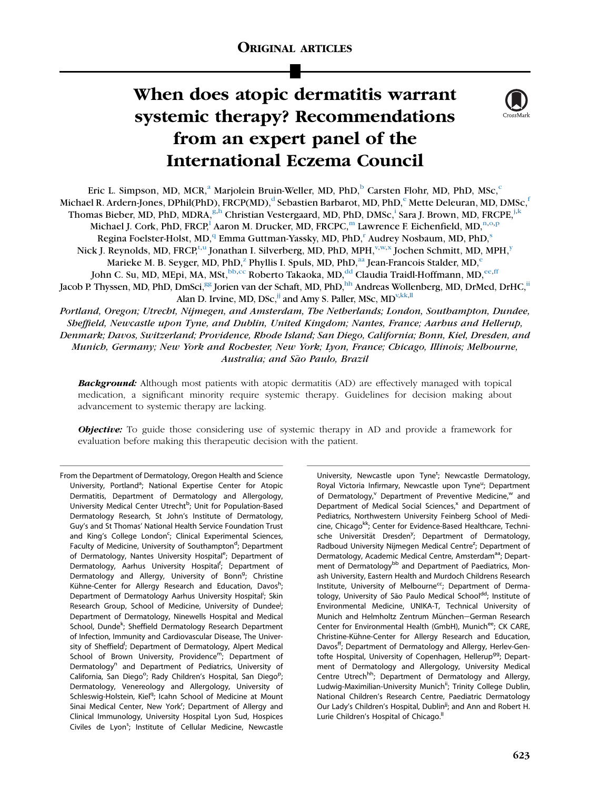# When does atopic dermatitis warrant systemic therapy? Recommendations from an expert panel of the International Eczema Council



Eric L. Simpson, MD, MCR, $^a$  Marjolein Bruin-Weller, MD, PhD, $^b$  Carsten Flohr, MD, PhD, MSc, $^c$ Michael R. Ardern-Jones, DPhil(PhD), FRCP(MD),<sup>d</sup> Sebastien Barbarot, MD, PhD,<sup>e</sup> Mette Deleuran, MD, DMSc,<sup>f</sup> Thomas Bieber, MD, PhD, MDRA,<sup>g,h</sup> Christian Vestergaard, MD, PhD, DMSc,<sup>i</sup> Sara J. Brown, MD, FRCPE,<sup>j,k</sup> Michael J. Cork, PhD, FRCP,<sup>l</sup> Aaron M. Drucker, MD, FRCPC,<sup>m</sup> Lawrence F. Eichenfield, MD,<sup>n,o,p</sup> Regina Foelster-Holst, MD,  $q$  Emma Guttman-Yassky, MD, PhD, $r$  Audrey Nosbaum, MD, PhD, $s$ Nick J. Reynolds, MD, FRCP<sup>t,u</sup> Jonathan I. Silverberg, MD, PhD, MPH,  $v_{\rm w,x}$  Jochen Schmitt, MD, MPH,<sup>y</sup> Marieke M. B. Seyger, MD, PhD,<sup>z</sup> Phyllis I. Spuls, MD, PhD,<sup>aa</sup> Jean-Francois Stalder, MD,<sup>e</sup> John C. Su, MD, MEpi, MA, MSt, bb,cc Roberto Takaoka, MD, dd Claudia Traidl-Hoffmann, MD, ee,ff Jacob P. Thyssen, MD, PhD, DmSci, <sup>gg</sup> Jorien van der Schaft, MD, PhD, hh Andreas Wollenberg, MD, DrMed, DrHC,<sup>ii</sup> Alan D. Irvine, MD, DSc,  $j$  and Amy S. Paller, MSc, MD<sup>v,kk,ll</sup> Portland, Oregon; Utrecht, Nijmegen, and Amsterdam, The Netherlands; London, Southampton, Dundee,

Sheffield, Newcastle upon Tyne, and Dublin, United Kingdom; Nantes, France; Aarhus and Hellerup, Denmark; Davos, Switzerland; Providence, Rhode Island; San Diego, California; Bonn, Kiel, Dresden, and Munich, Germany; New York and Rochester, New York; Lyon, France; Chicago, Illinois; Melbourne, Australia; and São Paulo, Brazil

**Background:** Although most patients with atopic dermatitis (AD) are effectively managed with topical medication, a significant minority require systemic therapy. Guidelines for decision making about advancement to systemic therapy are lacking.

**Objective:** To guide those considering use of systemic therapy in AD and provide a framework for evaluation before making this therapeutic decision with the patient.

From the Department of Dermatology, Oregon Health and Science University, Portland<sup>a</sup>; National Expertise Center for Atopic Dermatitis, Department of Dermatology and Allergology, University Medical Center Utrecht<sup>b</sup>; Unit for Population-Based Dermatology Research, St John's Institute of Dermatology, Guy's and St Thomas' National Health Service Foundation Trust and King's College London<sup>c</sup>; Clinical Experimental Sciences, Faculty of Medicine, University of Southampton<sup>d</sup>; Department of Dermatology, Nantes University Hospital<sup>e</sup>; Department of Dermatology, Aarhus University Hospital<sup>f</sup>; Department of Dermatology and Allergy, University of Bonn<sup>g</sup>; Christine Kühne-Center for Allergy Research and Education, Davos<sup>h</sup>; Department of Dermatology Aarhus University Hospital<sup>i</sup>; Skin Research Group, School of Medicine, University of Dundee<sup>j</sup>; Department of Dermatology, Ninewells Hospital and Medical School, Dunde<sup>k</sup>; Sheffield Dermatology Research Department of Infection, Immunity and Cardiovascular Disease, The University of Sheffield<sup>I</sup>; Department of Dermatology, Alpert Medical School of Brown University, Providence<sup>m</sup>; Department of Dermatology<sup>n</sup> and Department of Pediatrics, University of California, San Diego<sup>o</sup>; Rady Children's Hospital, San Diego<sup>p</sup>; Dermatology, Venereology and Allergology, University of Schleswig-Holstein, Kiel<sup>q</sup>; Icahn School of Medicine at Mount Sinai Medical Center, New York<sup>r</sup>; Department of Allergy and Clinical Immunology, University Hospital Lyon Sud, Hospices Civiles de Lyon<sup>s</sup>; Institute of Cellular Medicine, Newcastle

University, Newcastle upon Tyne<sup>t</sup>; Newcastle Dermatology, Royal Victoria Infirmary, Newcastle upon Tyne<sup>u</sup>; Department of Dermatology, $v$  Department of Preventive Medicine, $w$  and Department of Medical Social Sciences,<sup>x</sup> and Department of Pediatrics, Northwestern University Feinberg School of Medicine, Chicagokk; Center for Evidence-Based Healthcare, Technische Universität Dresden<sup>y</sup>; Department of Dermatology, Radboud University Nijmegen Medical Centre<sup>z</sup>; Department of Dermatology, Academic Medical Centre, Amsterdam<sup>aa</sup>; Department of Dermatology<sup>bb</sup> and Department of Paediatrics, Monash University, Eastern Health and Murdoch Childrens Research Institute, University of Melbourne<sup>cc</sup>; Department of Dermatology, University of São Paulo Medical School<sup>dd</sup>; Institute of Environmental Medicine, UNIKA-T, Technical University of Munich and Helmholtz Zentrum München-German Research Center for Environmental Health (GmbH), Munichee; CK CARE, Christine-Kühne-Center for Allergy Research and Education, Davos<sup>ff</sup>; Department of Dermatology and Allergy, Herlev-Gentofte Hospital, University of Copenhagen, Hellerup<sup>99</sup>; Department of Dermatology and Allergology, University Medical Centre Utrech<sup>hh</sup>; Department of Dermatology and Allergy, Ludwig-Maximilian-University Munich<sup>ii</sup>; Trinity College Dublin, National Children's Research Centre, Paediatric Dermatology Our Lady's Children's Hospital, Dublin<sup>jj</sup>; and Ann and Robert H. Lurie Children's Hospital of Chicago.<sup>11</sup>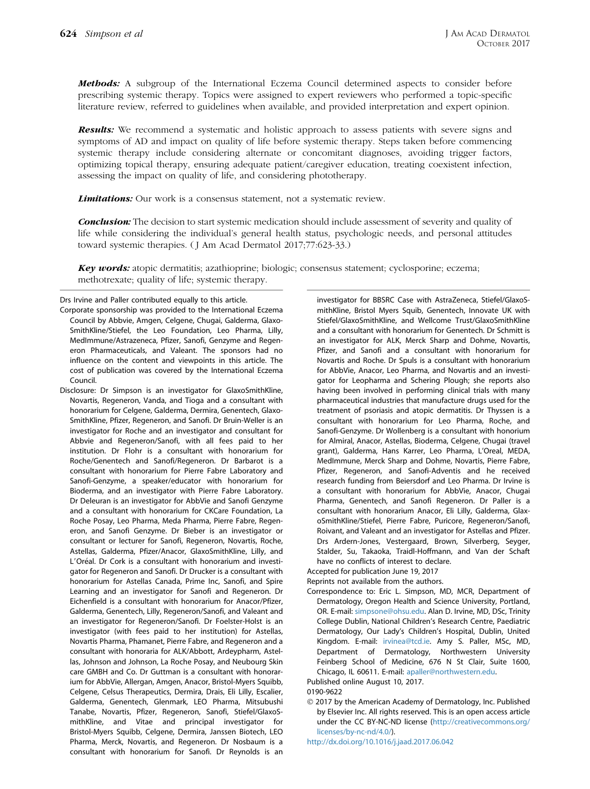**Methods:** A subgroup of the International Eczema Council determined aspects to consider before prescribing systemic therapy. Topics were assigned to expert reviewers who performed a topic-specific literature review, referred to guidelines when available, and provided interpretation and expert opinion.

**Results:** We recommend a systematic and holistic approach to assess patients with severe signs and symptoms of AD and impact on quality of life before systemic therapy. Steps taken before commencing systemic therapy include considering alternate or concomitant diagnoses, avoiding trigger factors, optimizing topical therapy, ensuring adequate patient/caregiver education, treating coexistent infection, assessing the impact on quality of life, and considering phototherapy.

**Limitations:** Our work is a consensus statement, not a systematic review.

**Conclusion:** The decision to start systemic medication should include assessment of severity and quality of life while considering the individual's general health status, psychologic needs, and personal attitudes toward systemic therapies. ( J Am Acad Dermatol 2017;77:623-33.)

Key words: atopic dermatitis; azathioprine; biologic; consensus statement; cyclosporine; eczema; methotrexate; quality of life; systemic therapy.

Drs Irvine and Paller contributed equally to this article.

- Corporate sponsorship was provided to the International Eczema Council by Abbvie, Amgen, Celgene, Chugai, Galderma, Glaxo-SmithKline/Stiefel, the Leo Foundation, Leo Pharma, Lilly, MedImmune/Astrazeneca, Pfizer, Sanofi, Genzyme and Regeneron Pharmaceuticals, and Valeant. The sponsors had no influence on the content and viewpoints in this article. The cost of publication was covered by the International Eczema Council.
- Disclosure: Dr Simpson is an investigator for GlaxoSmithKline, Novartis, Regeneron, Vanda, and Tioga and a consultant with honorarium for Celgene, Galderma, Dermira, Genentech, Glaxo-SmithKline, Pfizer, Regeneron, and Sanofi. Dr Bruin-Weller is an investigator for Roche and an investigator and consultant for Abbvie and Regeneron/Sanofi, with all fees paid to her institution. Dr Flohr is a consultant with honorarium for Roche/Genentech and Sanofi/Regeneron. Dr Barbarot is a consultant with honorarium for Pierre Fabre Laboratory and Sanofi-Genzyme, a speaker/educator with honorarium for Bioderma, and an investigator with Pierre Fabre Laboratory. Dr Deleuran is an investigator for AbbVie and Sanofi Genzyme and a consultant with honorarium for CKCare Foundation, La Roche Posay, Leo Pharma, Meda Pharma, Pierre Fabre, Regeneron, and Sanofi Genzyme. Dr Bieber is an investigator or consultant or lecturer for Sanofi, Regeneron, Novartis, Roche, Astellas, Galderma, Pfizer/Anacor, GlaxoSmithKline, Lilly, and L'Oréal. Dr Cork is a consultant with honorarium and investigator for Regeneron and Sanofi. Dr Drucker is a consultant with honorarium for Astellas Canada, Prime Inc, Sanofi, and Spire Learning and an investigator for Sanofi and Regeneron. Dr Eichenfield is a consultant with honorarium for Anacor/Pfizer, Galderma, Genentech, Lilly, Regeneron/Sanofi, and Valeant and an investigator for Regeneron/Sanofi. Dr Foelster-Holst is an investigator (with fees paid to her institution) for Astellas, Novartis Pharma, Phamanet, Pierre Fabre, and Regeneron and a consultant with honoraria for ALK/Abbott, Ardeypharm, Astellas, Johnson and Johnson, La Roche Posay, and Neubourg Skin care GMBH and Co. Dr Guttman is a consultant with honorarium for AbbVie, Allergan, Amgen, Anacor, Bristol-Myers Squibb, Celgene, Celsus Therapeutics, Dermira, Drais, Eli Lilly, Escalier, Galderma, Genentech, Glenmark, LEO Pharma, Mitsubushi Tanabe, Novartis, Pfizer, Regeneron, Sanofi, Stiefel/GlaxoSmithKline, and Vitae and principal investigator for Bristol-Myers Squibb, Celgene, Dermira, Janssen Biotech, LEO Pharma, Merck, Novartis, and Regeneron. Dr Nosbaum is a consultant with honorarium for Sanofi. Dr Reynolds is an

investigator for BBSRC Case with AstraZeneca, Stiefel/GlaxoSmithKline, Bristol Myers Squib, Genentech, Innovate UK with Stiefel/GlaxoSmithKline, and Wellcome Trust/GlaxoSmithKline and a consultant with honorarium for Genentech. Dr Schmitt is an investigator for ALK, Merck Sharp and Dohme, Novartis, Pfizer, and Sanofi and a consultant with honorarium for Novartis and Roche. Dr Spuls is a consultant with honorarium for AbbVie, Anacor, Leo Pharma, and Novartis and an investigator for Leopharma and Schering Plough; she reports also having been involved in performing clinical trials with many pharmaceutical industries that manufacture drugs used for the treatment of psoriasis and atopic dermatitis. Dr Thyssen is a consultant with honorarium for Leo Pharma, Roche, and Sanofi-Genzyme. Dr Wollenberg is a consultant with honorium for Almiral, Anacor, Astellas, Bioderma, Celgene, Chugai (travel grant), Galderma, Hans Karrer, Leo Pharma, L'Oreal, MEDA, MedImmune, Merck Sharp and Dohme, Novartis, Pierre Fabre, Pfizer, Regeneron, and Sanofi-Adventis and he received research funding from Beiersdorf and Leo Pharma. Dr Irvine is a consultant with honorarium for AbbVie, Anacor, Chugai Pharma, Genentech, and Sanofi Regeneron. Dr Paller is a consultant with honorarium Anacor, Eli Lilly, Galderma, GlaxoSmithKline/Stiefel, Pierre Fabre, Puricore, Regeneron/Sanofi, Roivant, and Valeant and an investigator for Astellas and Pfizer. Drs Ardern-Jones, Vestergaard, Brown, Silverberg, Seyger, Stalder, Su, Takaoka, Traidl-Hoffmann, and Van der Schaft have no conflicts of interest to declare.

Accepted for publication June 19, 2017

Reprints not available from the authors.

Correspondence to: Eric L. Simpson, MD, MCR, Department of Dermatology, Oregon Health and Science University, Portland, OR. E-mail: [simpsone@ohsu.edu](mailto:simpsone@ohsu.edu). Alan D. Irvine, MD, DSc, Trinity College Dublin, National Children's Research Centre, Paediatric Dermatology, Our Lady's Children's Hospital, Dublin, United Kingdom. E-mail: [irvinea@tcd.ie](mailto:irvinea@tcd.ie). Amy S. Paller, MSc, MD, Department of Dermatology, Northwestern University Feinberg School of Medicine, 676 N St Clair, Suite 1600, Chicago, IL 60611. E-mail: [apaller@northwestern.edu](mailto:apaller@northwestern.edu).

Published online August 10, 2017.

0190-9622

 2017 by the American Academy of Dermatology, Inc. Published by Elsevier Inc. All rights reserved. This is an open access article under the CC BY-NC-ND license [\(http://creativecommons.org/](http://creativecommons.org/licenses/by-nc-nd/4.0/) [licenses/by-nc-nd/4.0/](http://creativecommons.org/licenses/by-nc-nd/4.0/)).

<http://dx.doi.org/10.1016/j.jaad.2017.06.042>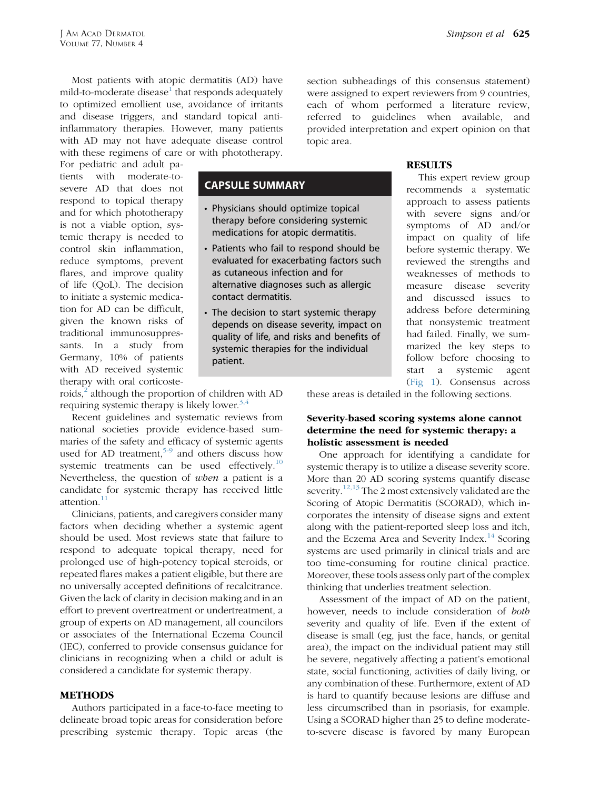Most patients with atopic dermatitis (AD) have mild-to-moderate disease<sup>[1](#page-8-0)</sup> that responds adequately to optimized emollient use, avoidance of irritants and disease triggers, and standard topical antiinflammatory therapies. However, many patients with AD may not have adequate disease control with these regimens of care or with phototherapy.

For pediatric and adult patients with moderate-tosevere AD that does not respond to topical therapy and for which phototherapy is not a viable option, systemic therapy is needed to control skin inflammation, reduce symptoms, prevent flares, and improve quality of life (QoL). The decision to initiate a systemic medication for AD can be difficult, given the known risks of traditional immunosuppressants. In a study from Germany, 10% of patients with AD received systemic therapy with oral corticoste-

## CAPSULE SUMMARY

- Physicians should optimize topical therapy before considering systemic medications for atopic dermatitis.
- Patients who fail to respond should be evaluated for exacerbating factors such as cutaneous infection and for alternative diagnoses such as allergic contact dermatitis.
- The decision to start systemic therapy depends on disease severity, impact on quality of life, and risks and benefits of systemic therapies for the individual patient.

## section subheadings of this consensus statement) were assigned to expert reviewers from 9 countries, each of whom performed a literature review, referred to guidelines when available, and provided interpretation and expert opinion on that topic area.

#### RESULTS

This expert review group recommends a systematic approach to assess patients with severe signs and/or symptoms of AD and/or impact on quality of life before systemic therapy. We reviewed the strengths and weaknesses of methods to measure disease severity and discussed issues to address before determining that nonsystemic treatment had failed. Finally, we summarized the key steps to follow before choosing to start a systemic agent ([Fig 1](#page-4-0)). Consensus across

roids, $\frac{2}{3}$  $\frac{2}{3}$  $\frac{2}{3}$  although the proportion of children with AD requiring systemic therapy is likely lower. $3,4$ 

Recent guidelines and systematic reviews from national societies provide evidence-based summaries of the safety and efficacy of systemic agents used for AD treatment,<sup>[5-9](#page-8-0)</sup> and others discuss how systemic treatments can be used effectively. $^{10}$  $^{10}$  $^{10}$ Nevertheless, the question of when a patient is a candidate for systemic therapy has received little attention.<sup>[11](#page-8-0)</sup>

Clinicians, patients, and caregivers consider many factors when deciding whether a systemic agent should be used. Most reviews state that failure to respond to adequate topical therapy, need for prolonged use of high-potency topical steroids, or repeated flares makes a patient eligible, but there are no universally accepted definitions of recalcitrance. Given the lack of clarity in decision making and in an effort to prevent overtreatment or undertreatment, a group of experts on AD management, all councilors or associates of the International Eczema Council (IEC), conferred to provide consensus guidance for clinicians in recognizing when a child or adult is considered a candidate for systemic therapy.

#### METHODS

Authors participated in a face-to-face meeting to delineate broad topic areas for consideration before prescribing systemic therapy. Topic areas (the

these areas is detailed in the following sections.

## Severity-based scoring systems alone cannot determine the need for systemic therapy: a holistic assessment is needed

One approach for identifying a candidate for systemic therapy is to utilize a disease severity score. More than 20 AD scoring systems quantify disease severity.[12,13](#page-8-0) The 2 most extensively validated are the Scoring of Atopic Dermatitis (SCORAD), which incorporates the intensity of disease signs and extent along with the patient-reported sleep loss and itch, and the Eczema Area and Severity Index.<sup>[14](#page-8-0)</sup> Scoring systems are used primarily in clinical trials and are too time-consuming for routine clinical practice. Moreover, these tools assess only part of the complex thinking that underlies treatment selection.

Assessment of the impact of AD on the patient, however, needs to include consideration of both severity and quality of life. Even if the extent of disease is small (eg, just the face, hands, or genital area), the impact on the individual patient may still be severe, negatively affecting a patient's emotional state, social functioning, activities of daily living, or any combination of these. Furthermore, extent of AD is hard to quantify because lesions are diffuse and less circumscribed than in psoriasis, for example. Using a SCORAD higher than 25 to define moderateto-severe disease is favored by many European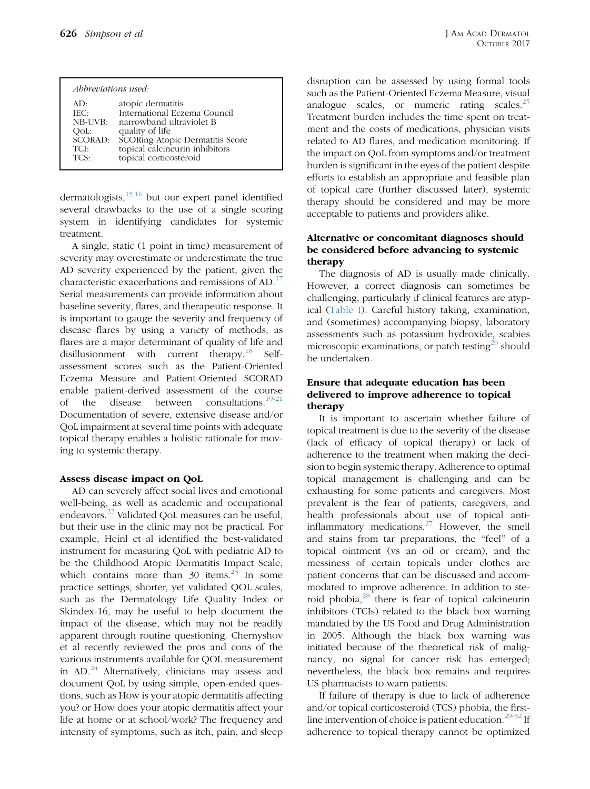| AD:     | atopic dermatitis               |
|---------|---------------------------------|
| TEC:    | International Eczema Council    |
| NB-UVB: | narrowband ultraviolet B        |
| OoL:    | quality of life                 |
| SCORAD: | SCORing Atopic Dermatitis Score |
| TCI:    | topical calcineurin inhibitors  |
| TCS:    | topical corticosteroid          |

dermatologists, $15,16$  but our expert panel identified several drawbacks to the use of a single scoring system in identifying candidates for systemic treatment.

A single, static (1 point in time) measurement of severity may overestimate or underestimate the true AD severity experienced by the patient, given the characteristic exacerbations and remissions of AD.<sup>[17](#page-8-0)</sup> Serial measurements can provide information about baseline severity, flares, and therapeutic response. It is important to gauge the severity and frequency of disease flares by using a variety of methods, as flares are a major determinant of quality of life and disillusionment with current therapy.[18](#page-8-0) Selfassessment scores such as the Patient-Oriented Eczema Measure and Patient-Oriented SCORAD enable patient-derived assessment of the course of the disease between consultations.<sup>19-21</sup> Documentation of severe, extensive disease and/or QoL impairment at several time points with adequate topical therapy enables a holistic rationale for moving to systemic therapy.

#### Assess disease impact on QoL

AD can severely affect social lives and emotional well-being, as well as academic and occupational endeavors.[22](#page-9-0) Validated QoL measures can be useful, but their use in the clinic may not be practical. For example, Heinl et al identified the best-validated instrument for measuring QoL with pediatric AD to be the Childhood Atopic Dermatitis Impact Scale, which contains more than 30 items. $^{23}$  $^{23}$  $^{23}$  In some practice settings, shorter, yet validated QOL scales, such as the Dermatology Life Quality Index or Skindex-16, may be useful to help document the impact of the disease, which may not be readily apparent through routine questioning. Chernyshov et al recently reviewed the pros and cons of the various instruments available for QOL measurement in  $AD<sup>24</sup>$  $AD<sup>24</sup>$  $AD<sup>24</sup>$  Alternatively, clinicians may assess and document QoL by using simple, open-ended questions, such as How is your atopic dermatitis affecting you? or How does your atopic dermatitis affect your life at home or at school/work? The frequency and intensity of symptoms, such as itch, pain, and sleep

disruption can be assessed by using formal tools such as the Patient-Oriented Eczema Measure, visual analogue scales, or numeric rating scales. $^{25}$  $^{25}$  $^{25}$ Treatment burden includes the time spent on treatment and the costs of medications, physician visits related to AD flares, and medication monitoring. If the impact on QoL from symptoms and/or treatment burden is significant in the eyes of the patient despite efforts to establish an appropriate and feasible plan of topical care (further discussed later), systemic therapy should be considered and may be more acceptable to patients and providers alike.

#### Alternative or concomitant diagnoses should be considered before advancing to systemic therapy

The diagnosis of AD is usually made clinically. However, a correct diagnosis can sometimes be challenging, particularly if clinical features are atypical ([Table I](#page-5-0)). Careful history taking, examination, and (sometimes) accompanying biopsy, laboratory assessments such as potassium hydroxide, scabies microscopic examinations, or patch testing $^{26}$  $^{26}$  $^{26}$  should be undertaken.

#### Ensure that adequate education has been delivered to improve adherence to topical therapy

It is important to ascertain whether failure of topical treatment is due to the severity of the disease (lack of efficacy of topical therapy) or lack of adherence to the treatment when making the decision to begin systemic therapy. Adherence to optimal topical management is challenging and can be exhausting for some patients and caregivers. Most prevalent is the fear of patients, caregivers, and health professionals about use of topical antiinflammatory medications. $27$  However, the smell and stains from tar preparations, the ''feel'' of a topical ointment (vs an oil or cream), and the messiness of certain topicals under clothes are patient concerns that can be discussed and accommodated to improve adherence. In addition to ste-roid phobia,<sup>[28](#page-9-0)</sup> there is fear of topical calcineurin inhibitors (TCIs) related to the black box warning mandated by the US Food and Drug Administration in 2005. Although the black box warning was initiated because of the theoretical risk of malignancy, no signal for cancer risk has emerged; nevertheless, the black box remains and requires US pharmacists to warn patients.

If failure of therapy is due to lack of adherence and/or topical corticosteroid (TCS) phobia, the first-line intervention of choice is patient education.<sup>[29-32](#page-9-0)</sup> If adherence to topical therapy cannot be optimized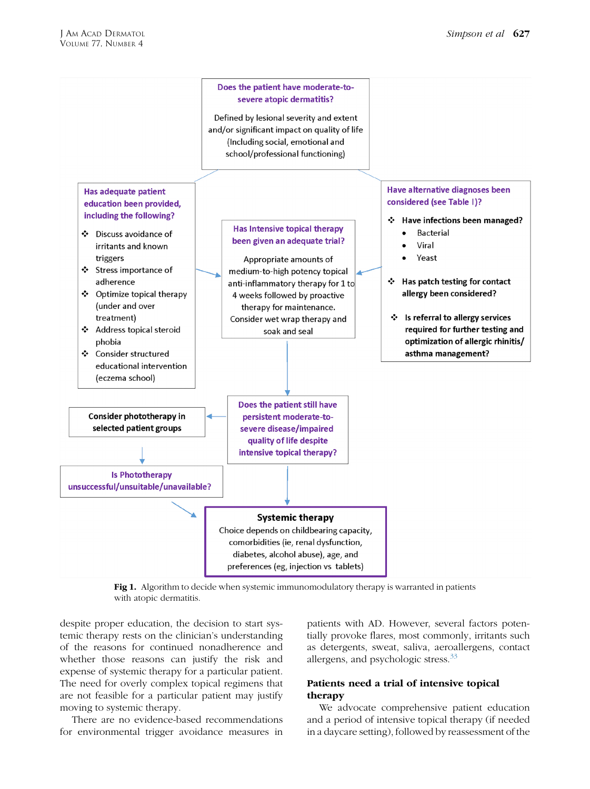<span id="page-4-0"></span>

Fig 1. Algorithm to decide when systemic immunomodulatory therapy is warranted in patients with atopic dermatitis.

despite proper education, the decision to start systemic therapy rests on the clinician's understanding of the reasons for continued nonadherence and whether those reasons can justify the risk and expense of systemic therapy for a particular patient. The need for overly complex topical regimens that are not feasible for a particular patient may justify moving to systemic therapy.

There are no evidence-based recommendations for environmental trigger avoidance measures in

patients with AD. However, several factors potentially provoke flares, most commonly, irritants such as detergents, sweat, saliva, aeroallergens, contact allergens, and psychologic stress. $33$ 

## Patients need a trial of intensive topical therapy

We advocate comprehensive patient education and a period of intensive topical therapy (if needed in a daycare setting), followed by reassessment of the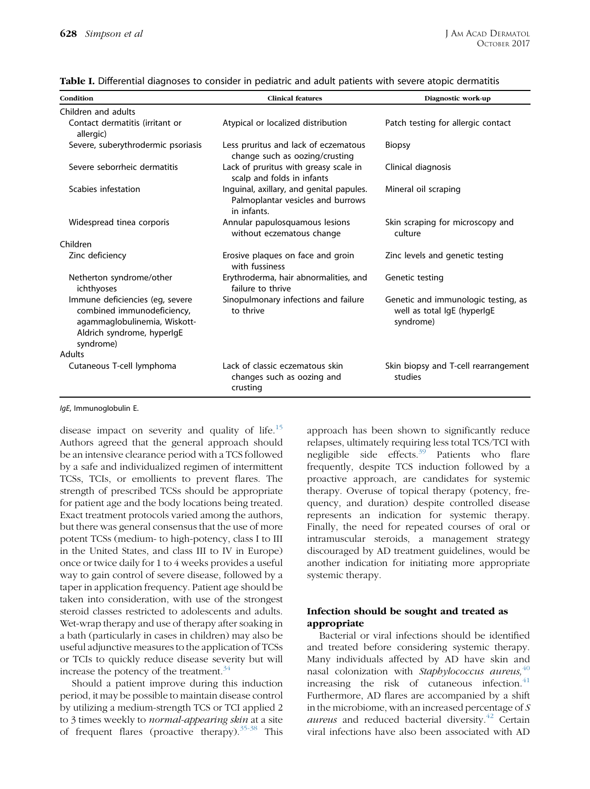| Condition                                                                                                                                | <b>Clinical features</b>                                                                     | Diagnostic work-up                                                              |
|------------------------------------------------------------------------------------------------------------------------------------------|----------------------------------------------------------------------------------------------|---------------------------------------------------------------------------------|
| Children and adults                                                                                                                      |                                                                                              |                                                                                 |
| Contact dermatitis (irritant or<br>allergic)                                                                                             | Atypical or localized distribution                                                           | Patch testing for allergic contact                                              |
| Severe, suberythrodermic psoriasis                                                                                                       | Less pruritus and lack of eczematous<br>change such as oozing/crusting                       | <b>Biopsy</b>                                                                   |
| Severe seborrheic dermatitis                                                                                                             | Lack of pruritus with greasy scale in<br>scalp and folds in infants                          | Clinical diagnosis                                                              |
| Scabies infestation                                                                                                                      | Inguinal, axillary, and genital papules.<br>Palmoplantar vesicles and burrows<br>in infants. | Mineral oil scraping                                                            |
| Widespread tinea corporis                                                                                                                | Annular papulosquamous lesions<br>without eczematous change                                  | Skin scraping for microscopy and<br>culture                                     |
| Children                                                                                                                                 |                                                                                              |                                                                                 |
| Zinc deficiency                                                                                                                          | Erosive plaques on face and groin<br>with fussiness                                          | Zinc levels and genetic testing                                                 |
| Netherton syndrome/other<br>ichthyoses                                                                                                   | Erythroderma, hair abnormalities, and<br>failure to thrive                                   | Genetic testing                                                                 |
| Immune deficiencies (eg, severe<br>combined immunodeficiency,<br>agammaglobulinemia, Wiskott-<br>Aldrich syndrome, hyperIgE<br>syndrome) | Sinopulmonary infections and failure<br>to thrive                                            | Genetic and immunologic testing, as<br>well as total IgE (hyperIgE<br>syndrome) |
| Adults                                                                                                                                   |                                                                                              |                                                                                 |
| Cutaneous T-cell lymphoma                                                                                                                | Lack of classic eczematous skin<br>changes such as oozing and<br>crusting                    | Skin biopsy and T-cell rearrangement<br>studies                                 |

<span id="page-5-0"></span>Table I. Differential diagnoses to consider in pediatric and adult patients with severe atopic dermatitis

IgE, Immunoglobulin E.

disease impact on severity and quality of life.<sup>[15](#page-8-0)</sup> Authors agreed that the general approach should be an intensive clearance period with a TCS followed by a safe and individualized regimen of intermittent TCSs, TCIs, or emollients to prevent flares. The strength of prescribed TCSs should be appropriate for patient age and the body locations being treated. Exact treatment protocols varied among the authors, but there was general consensus that the use of more potent TCSs (medium- to high-potency, class I to III in the United States, and class III to IV in Europe) once or twice daily for 1 to 4 weeks provides a useful way to gain control of severe disease, followed by a taper in application frequency. Patient age should be taken into consideration, with use of the strongest steroid classes restricted to adolescents and adults. Wet-wrap therapy and use of therapy after soaking in a bath (particularly in cases in children) may also be useful adjunctive measures to the application of TCSs or TCIs to quickly reduce disease severity but will increase the potency of the treatment. $34$ 

Should a patient improve during this induction period, it may be possible to maintain disease control by utilizing a medium-strength TCS or TCI applied 2 to 3 times weekly to normal-appearing skin at a site of frequent flares (proactive therapy).  $35-38$  This

approach has been shown to significantly reduce relapses, ultimately requiring less total TCS/TCI with negligible side effects.<sup>[39](#page-9-0)</sup> Patients who flare frequently, despite TCS induction followed by a proactive approach, are candidates for systemic therapy. Overuse of topical therapy (potency, frequency, and duration) despite controlled disease represents an indication for systemic therapy. Finally, the need for repeated courses of oral or intramuscular steroids, a management strategy discouraged by AD treatment guidelines, would be another indication for initiating more appropriate systemic therapy.

## Infection should be sought and treated as appropriate

Bacterial or viral infections should be identified and treated before considering systemic therapy. Many individuals affected by AD have skin and nasal colonization with *Staphylococcus aureus*,  $40$ increasing the risk of cutaneous infection.<sup>[41](#page-9-0)</sup> Furthermore, AD flares are accompanied by a shift in the microbiome, with an increased percentage of S *aureus* and reduced bacterial diversity.<sup>[42](#page-9-0)</sup> Certain viral infections have also been associated with AD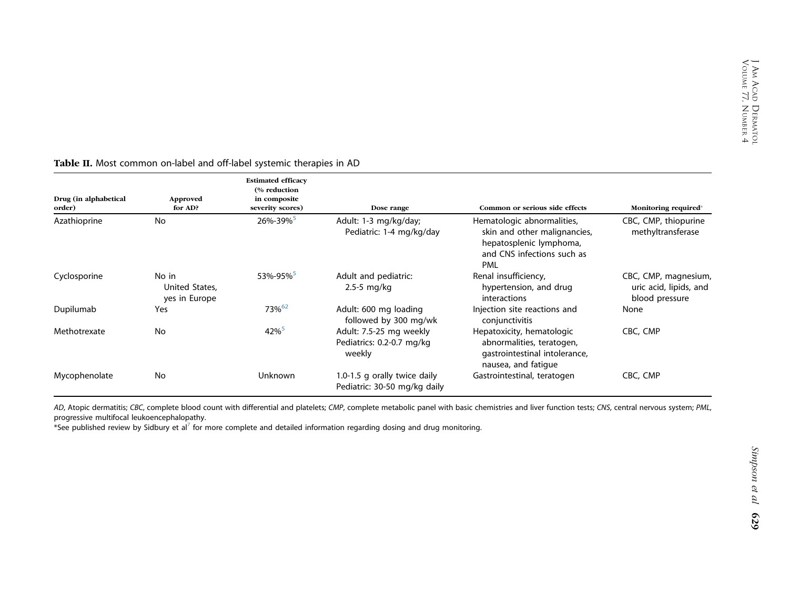| Drug (in alphabetical<br>order) | Approved<br>for AD?                      | <b>Estimated efficacy</b><br>(% reduction<br>in composite<br>severity scores) | Dose range                                                     | Common or serious side effects                                                                                                    | Monitoring required*                                             |
|---------------------------------|------------------------------------------|-------------------------------------------------------------------------------|----------------------------------------------------------------|-----------------------------------------------------------------------------------------------------------------------------------|------------------------------------------------------------------|
| Azathioprine                    | No                                       | 26%-39% <sup>5</sup>                                                          | Adult: 1-3 mg/kg/day;<br>Pediatric: 1-4 mg/kg/day              | Hematologic abnormalities,<br>skin and other malignancies,<br>hepatosplenic lymphoma,<br>and CNS infections such as<br><b>PML</b> | CBC, CMP, thiopurine<br>methyltransferase                        |
| Cyclosporine                    | No in<br>United States,<br>yes in Europe | 53%-95% <sup>5</sup>                                                          | Adult and pediatric:<br>$2.5 - 5$ mg/kg                        | Renal insufficiency,<br>hypertension, and drug<br>interactions                                                                    | CBC, CMP, magnesium,<br>uric acid, lipids, and<br>blood pressure |
| Dupilumab                       | Yes                                      | 73% <sup>62</sup>                                                             | Adult: 600 mg loading<br>followed by 300 mg/wk                 | Injection site reactions and<br>conjunctivitis                                                                                    | None                                                             |
| Methotrexate                    | No                                       | $42\%$ <sup>5</sup>                                                           | Adult: 7.5-25 mg weekly<br>Pediatrics: 0.2-0.7 mg/kg<br>weekly | Hepatoxicity, hematologic<br>abnormalities, teratogen,<br>gastrointestinal intolerance,<br>nausea, and fatique                    | CBC, CMP                                                         |
| Mycophenolate                   | No                                       | Unknown                                                                       | 1.0-1.5 g orally twice daily<br>Pediatric: 30-50 mg/kg daily   | Gastrointestinal, teratogen                                                                                                       | CBC, CMP                                                         |

<span id="page-6-0"></span>Table II. Most common on-label and off-label systemic therapies in AD

AD, Atopic dermatitis; CBC, complete blood count with differential and platelets; CMP, complete metabolic panel with basic chemistries and liver function tests; CNS, central nervous system; PML, progressive multifocal leukoencephalopathy.

\*See published review by Sidbury et al<sup>[7](#page-8-0)</sup> for more complete and detailed information regarding dosing and drug monitoring.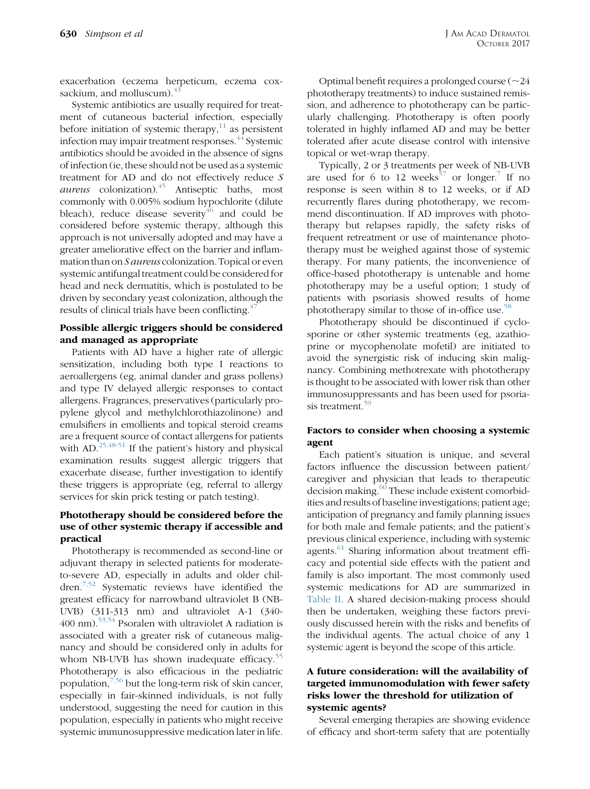exacerbation (eczema herpeticum, eczema coxsackium, and molluscum). $43$ 

Systemic antibiotics are usually required for treatment of cutaneous bacterial infection, especially before initiation of systemic therapy, $11$  as persistent infection may impair treatment responses.<sup>44</sup> Systemic antibiotics should be avoided in the absence of signs of infection (ie, these should not be used as a systemic treatment for AD and do not effectively reduce S aureus colonization).[45](#page-9-0) Antiseptic baths, most commonly with 0.005% sodium hypochlorite (dilute bleach), reduce disease severity $46$  and could be considered before systemic therapy, although this approach is not universally adopted and may have a greater ameliorative effect on the barrier and inflammation than on S aureus colonization. Topical or even systemic antifungal treatment could be considered for head and neck dermatitis, which is postulated to be driven by secondary yeast colonization, although the results of clinical trials have been conflicting.<sup>4</sup>

#### Possible allergic triggers should be considered and managed as appropriate

Patients with AD have a higher rate of allergic sensitization, including both type I reactions to aeroallergens (eg, animal dander and grass pollens) and type IV delayed allergic responses to contact allergens. Fragrances, preservatives (particularly propylene glycol and methylchlorothiazolinone) and emulsifiers in emollients and topical steroid creams are a frequent source of contact allergens for patients with AD.<sup>25,48-51</sup> If the patient's history and physical examination results suggest allergic triggers that exacerbate disease, further investigation to identify these triggers is appropriate (eg, referral to allergy services for skin prick testing or patch testing).

## Phototherapy should be considered before the use of other systemic therapy if accessible and practical

Phototherapy is recommended as second-line or adjuvant therapy in selected patients for moderateto-severe AD, especially in adults and older children.[7,52](#page-8-0) Systematic reviews have identified the greatest efficacy for narrowband ultraviolet B (NB-UVB) (311-313 nm) and ultraviolet A-1 (340-  $400$  nm).<sup>[53,54](#page-9-0)</sup> Psoralen with ultraviolet A radiation is associated with a greater risk of cutaneous malignancy and should be considered only in adults for whom NB-UVB has shown inadequate efficacy.<sup>[55](#page-9-0)</sup> Phototherapy is also efficacious in the pediatric population,[7,56](#page-8-0) but the long-term risk of skin cancer, especially in fair-skinned individuals, is not fully understood, suggesting the need for caution in this population, especially in patients who might receive systemic immunosuppressive medication later in life.

Optimal benefit requires a prolonged course  $\sim 24$ phototherapy treatments) to induce sustained remission, and adherence to phototherapy can be particularly challenging. Phototherapy is often poorly tolerated in highly inflamed AD and may be better tolerated after acute disease control with intensive topical or wet-wrap therapy.

Typically, 2 or 3 treatments per week of NB-UVB are used for 6 to 12 weeks<sup>[57](#page-10-0)</sup> or longer.<sup>[7](#page-8-0)</sup> If no response is seen within 8 to 12 weeks, or if AD recurrently flares during phototherapy, we recommend discontinuation. If AD improves with phototherapy but relapses rapidly, the safety risks of frequent retreatment or use of maintenance phototherapy must be weighed against those of systemic therapy. For many patients, the inconvenience of office-based phototherapy is untenable and home phototherapy may be a useful option; 1 study of patients with psoriasis showed results of home phototherapy similar to those of in-office use.<sup>[58](#page-10-0)</sup>

Phototherapy should be discontinued if cyclosporine or other systemic treatments (eg, azathioprine or mycophenolate mofetil) are initiated to avoid the synergistic risk of inducing skin malignancy. Combining methotrexate with phototherapy is thought to be associated with lower risk than other immunosuppressants and has been used for psoria-sis treatment.<sup>[59](#page-10-0)</sup>

#### Factors to consider when choosing a systemic agent

Each patient's situation is unique, and several factors influence the discussion between patient/ caregiver and physician that leads to therapeutic decision making. $60$  These include existent comorbidities and results of baseline investigations; patient age; anticipation of pregnancy and family planning issues for both male and female patients; and the patient's previous clinical experience, including with systemic agents.<sup>61</sup> Sharing information about treatment efficacy and potential side effects with the patient and family is also important. The most commonly used systemic medications for AD are summarized in [Table II](#page-6-0). A shared decision-making process should then be undertaken, weighing these factors previously discussed herein with the risks and benefits of the individual agents. The actual choice of any 1 systemic agent is beyond the scope of this article.

## A future consideration: will the availability of targeted immunomodulation with fewer safety risks lower the threshold for utilization of systemic agents?

Several emerging therapies are showing evidence of efficacy and short-term safety that are potentially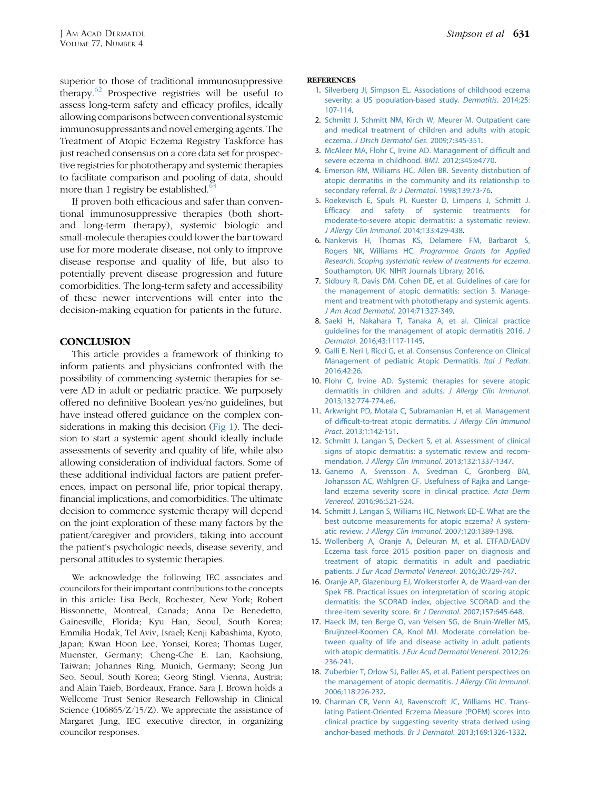<span id="page-8-0"></span>superior to those of traditional immunosuppressive therapy. $62$  Prospective registries will be useful to assess long-term safety and efficacy profiles, ideally allowing comparisons between conventional systemic immunosuppressants and novel emerging agents. The Treatment of Atopic Eczema Registry Taskforce has just reached consensus on a core data set for prospective registries for phototherapy and systemic therapies to facilitate comparison and pooling of data, should more than 1 registry be established. $\degree$ 

If proven both efficacious and safer than conventional immunosuppressive therapies (both shortand long-term therapy), systemic biologic and small-molecule therapies could lower the bar toward use for more moderate disease, not only to improve disease response and quality of life, but also to potentially prevent disease progression and future comorbidities. The long-term safety and accessibility of these newer interventions will enter into the decision-making equation for patients in the future.

#### **CONCLUSION**

This article provides a framework of thinking to inform patients and physicians confronted with the possibility of commencing systemic therapies for severe AD in adult or pediatric practice. We purposely offered no definitive Boolean yes/no guidelines, but have instead offered guidance on the complex considerations in making this decision [\(Fig 1\)](#page-4-0). The decision to start a systemic agent should ideally include assessments of severity and quality of life, while also allowing consideration of individual factors. Some of these additional individual factors are patient preferences, impact on personal life, prior topical therapy, financial implications, and comorbidities. The ultimate decision to commence systemic therapy will depend on the joint exploration of these many factors by the patient/caregiver and providers, taking into account the patient's psychologic needs, disease severity, and personal attitudes to systemic therapies.

We acknowledge the following IEC associates and councilors for their important contributions to the concepts in this article: Lisa Beck, Rochester, New York; Robert Bissonnette, Montreal, Canada; Anna De Benedetto, Gainesville, Florida; Kyu Han, Seoul, South Korea; Emmilia Hodak, Tel Aviv, Israel; Kenji Kabashima, Kyoto, Japan; Kwan Hoon Lee, Yonsei, Korea; Thomas Luger, Muenster, Germany; Cheng-Che E. Lan, Kaohsiung, Taiwan; Johannes Ring, Munich, Germany; Seong Jun Seo, Seoul, South Korea; Georg Stingl, Vienna, Austria; and Alain Taieb, Bordeaux, France. Sara J. Brown holds a Wellcome Trust Senior Research Fellowship in Clinical Science (106865/Z/15/Z). We appreciate the assistance of Margaret Jung, IEC executive director, in organizing councilor responses.

#### **REFERENCES**

- 1. [Silverberg JI, Simpson EL. Associations of childhood eczema](http://refhub.elsevier.com/S0190-9622(17)31944-8/sref1) [severity: a US population-based study.](http://refhub.elsevier.com/S0190-9622(17)31944-8/sref1) Dermatitis. 2014;25: [107-114.](http://refhub.elsevier.com/S0190-9622(17)31944-8/sref1)
- 2. [Schmitt J, Schmitt NM, Kirch W, Meurer M. Outpatient care](http://refhub.elsevier.com/S0190-9622(17)31944-8/sref2) [and medical treatment of children and adults with atopic](http://refhub.elsevier.com/S0190-9622(17)31944-8/sref2) eczema. [J Dtsch Dermatol Ges](http://refhub.elsevier.com/S0190-9622(17)31944-8/sref2). 2009;7:345-351.
- 3. [McAleer MA, Flohr C, Irvine AD. Management of difficult and](http://refhub.elsevier.com/S0190-9622(17)31944-8/sref3) [severe eczema in childhood.](http://refhub.elsevier.com/S0190-9622(17)31944-8/sref3) BMJ. 2012;345:e4770.
- 4. [Emerson RM, Williams HC, Allen BR. Severity distribution of](http://refhub.elsevier.com/S0190-9622(17)31944-8/sref4) [atopic dermatitis in the community and its relationship to](http://refhub.elsevier.com/S0190-9622(17)31944-8/sref4) [secondary referral.](http://refhub.elsevier.com/S0190-9622(17)31944-8/sref4) Br J Dermatol. 1998;139:73-76.
- 5. [Roekevisch E, Spuls PI, Kuester D, Limpens J, Schmitt J.](http://refhub.elsevier.com/S0190-9622(17)31944-8/sref5) [Efficacy and safety of systemic treatments for](http://refhub.elsevier.com/S0190-9622(17)31944-8/sref5) [moderate-to-severe atopic dermatitis: a systematic review.](http://refhub.elsevier.com/S0190-9622(17)31944-8/sref5) [J Allergy Clin Immunol](http://refhub.elsevier.com/S0190-9622(17)31944-8/sref5). 2014;133:429-438.
- 6. [Nankervis H, Thomas KS, Delamere FM, Barbarot S,](http://refhub.elsevier.com/S0190-9622(17)31944-8/sref6) Rogers NK, Williams HC. [Programme Grants for Applied](http://refhub.elsevier.com/S0190-9622(17)31944-8/sref6) [Research. Scoping systematic review of treatments for eczema](http://refhub.elsevier.com/S0190-9622(17)31944-8/sref6). [Southampton, UK: NIHR Journals Library; 2016.](http://refhub.elsevier.com/S0190-9622(17)31944-8/sref6)
- 7. [Sidbury R, Davis DM, Cohen DE, et al. Guidelines of care for](http://refhub.elsevier.com/S0190-9622(17)31944-8/sref7) [the management of atopic dermatitis: section 3. Manage](http://refhub.elsevier.com/S0190-9622(17)31944-8/sref7)[ment and treatment with phototherapy and systemic agents.](http://refhub.elsevier.com/S0190-9622(17)31944-8/sref7) [J Am Acad Dermatol](http://refhub.elsevier.com/S0190-9622(17)31944-8/sref7). 2014;71:327-349.
- 8. [Saeki H, Nakahara T, Tanaka A, et al. Clinical practice](http://refhub.elsevier.com/S0190-9622(17)31944-8/sref8) [guidelines for the management of atopic dermatitis 2016.](http://refhub.elsevier.com/S0190-9622(17)31944-8/sref8) J Dermatol[. 2016;43:1117-1145](http://refhub.elsevier.com/S0190-9622(17)31944-8/sref8).
- 9. [Galli E, Neri I, Ricci G, et al. Consensus Conference on Clinical](http://refhub.elsevier.com/S0190-9622(17)31944-8/sref9) [Management of pediatric Atopic Dermatitis.](http://refhub.elsevier.com/S0190-9622(17)31944-8/sref9) Ital J Pediatr. [2016;42:26.](http://refhub.elsevier.com/S0190-9622(17)31944-8/sref9)
- 10. [Flohr C, Irvine AD. Systemic therapies for severe atopic](http://refhub.elsevier.com/S0190-9622(17)31944-8/sref10) [dermatitis in children and adults.](http://refhub.elsevier.com/S0190-9622(17)31944-8/sref10) J Allergy Clin Immunol. [2013;132:774-774.e6](http://refhub.elsevier.com/S0190-9622(17)31944-8/sref10).
- 11. [Arkwright PD, Motala C, Subramanian H, et al. Management](http://refhub.elsevier.com/S0190-9622(17)31944-8/sref11) [of difficult-to-treat atopic dermatitis.](http://refhub.elsevier.com/S0190-9622(17)31944-8/sref11) J Allergy Clin Immunol Pract[. 2013;1:142-151](http://refhub.elsevier.com/S0190-9622(17)31944-8/sref11).
- 12. [Schmitt J, Langan S, Deckert S, et al. Assessment of clinical](http://refhub.elsevier.com/S0190-9622(17)31944-8/sref12) [signs of atopic dermatitis: a systematic review and recom](http://refhub.elsevier.com/S0190-9622(17)31944-8/sref12)mendation. [J Allergy Clin Immunol](http://refhub.elsevier.com/S0190-9622(17)31944-8/sref12). 2013;132:1337-1347.
- 13. [Ganemo A, Svensson A, Svedman C, Gronberg BM,](http://refhub.elsevier.com/S0190-9622(17)31944-8/sref13) [Johansson AC, Wahlgren CF. Usefulness of Rajka and Lange](http://refhub.elsevier.com/S0190-9622(17)31944-8/sref13)[land eczema severity score in clinical practice.](http://refhub.elsevier.com/S0190-9622(17)31944-8/sref13) Acta Derm Venereol[. 2016;96:521-524.](http://refhub.elsevier.com/S0190-9622(17)31944-8/sref13)
- 14. [Schmitt J, Langan S, Williams HC, Network ED-E. What are the](http://refhub.elsevier.com/S0190-9622(17)31944-8/sref14) [best outcome measurements for atopic eczema? A system](http://refhub.elsevier.com/S0190-9622(17)31944-8/sref14)atic review. [J Allergy Clin Immunol](http://refhub.elsevier.com/S0190-9622(17)31944-8/sref14). 2007;120:1389-1398.
- 15. [Wollenberg A, Oranje A, Deleuran M, et al. ETFAD/EADV](http://refhub.elsevier.com/S0190-9622(17)31944-8/sref15) [Eczema task force 2015 position paper on diagnosis and](http://refhub.elsevier.com/S0190-9622(17)31944-8/sref15) [treatment of atopic dermatitis in adult and paediatric](http://refhub.elsevier.com/S0190-9622(17)31944-8/sref15) patients. [J Eur Acad Dermatol Venereol](http://refhub.elsevier.com/S0190-9622(17)31944-8/sref15). 2016;30:729-747.
- 16. [Oranje AP, Glazenburg EJ, Wolkerstorfer A, de Waard-van der](http://refhub.elsevier.com/S0190-9622(17)31944-8/sref16) [Spek FB. Practical issues on interpretation of scoring atopic](http://refhub.elsevier.com/S0190-9622(17)31944-8/sref16) [dermatitis: the SCORAD index, objective SCORAD and the](http://refhub.elsevier.com/S0190-9622(17)31944-8/sref16) [three-item severity score.](http://refhub.elsevier.com/S0190-9622(17)31944-8/sref16) Br J Dermatol. 2007;157:645-648.
- 17. [Haeck IM, ten Berge O, van Velsen SG, de Bruin-Weller MS,](http://refhub.elsevier.com/S0190-9622(17)31944-8/sref17) [Bruijnzeel-Koomen CA, Knol MJ. Moderate correlation be](http://refhub.elsevier.com/S0190-9622(17)31944-8/sref17)[tween quality of life and disease activity in adult patients](http://refhub.elsevier.com/S0190-9622(17)31944-8/sref17) with atopic dermatitis. [J Eur Acad Dermatol Venereol](http://refhub.elsevier.com/S0190-9622(17)31944-8/sref17). 2012;26: [236-241.](http://refhub.elsevier.com/S0190-9622(17)31944-8/sref17)
- 18. [Zuberbier T, Orlow SJ, Paller AS, et al. Patient perspectives on](http://refhub.elsevier.com/S0190-9622(17)31944-8/sref18) [the management of atopic dermatitis.](http://refhub.elsevier.com/S0190-9622(17)31944-8/sref18) J Allergy Clin Immunol. [2006;118:226-232.](http://refhub.elsevier.com/S0190-9622(17)31944-8/sref18)
- 19. [Charman CR, Venn AJ, Ravenscroft JC, Williams HC. Trans](http://refhub.elsevier.com/S0190-9622(17)31944-8/sref19)[lating Patient-Oriented Eczema Measure \(POEM\) scores into](http://refhub.elsevier.com/S0190-9622(17)31944-8/sref19) [clinical practice by suggesting severity strata derived using](http://refhub.elsevier.com/S0190-9622(17)31944-8/sref19) [anchor-based methods.](http://refhub.elsevier.com/S0190-9622(17)31944-8/sref19) Br J Dermatol. 2013;169:1326-1332.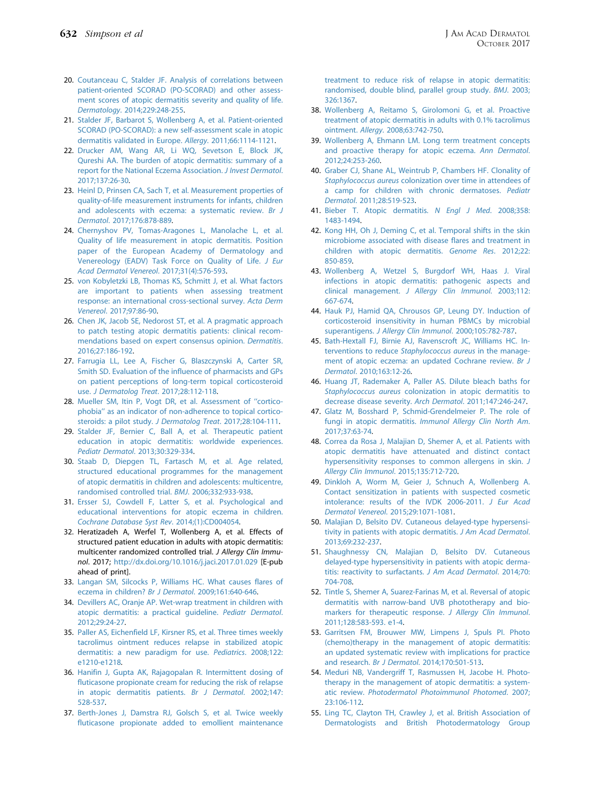- <span id="page-9-0"></span>20. [Coutanceau C, Stalder JF. Analysis of correlations between](http://refhub.elsevier.com/S0190-9622(17)31944-8/sref20) [patient-oriented SCORAD \(PO-SCORAD\) and other assess](http://refhub.elsevier.com/S0190-9622(17)31944-8/sref20)[ment scores of atopic dermatitis severity and quality of life.](http://refhub.elsevier.com/S0190-9622(17)31944-8/sref20) Dermatology[. 2014;229:248-255.](http://refhub.elsevier.com/S0190-9622(17)31944-8/sref20)
- 21. [Stalder JF, Barbarot S, Wollenberg A, et al. Patient-oriented](http://refhub.elsevier.com/S0190-9622(17)31944-8/sref21) [SCORAD \(PO-SCORAD\): a new self-assessment scale in atopic](http://refhub.elsevier.com/S0190-9622(17)31944-8/sref21) [dermatitis validated in Europe.](http://refhub.elsevier.com/S0190-9622(17)31944-8/sref21) Allergy. 2011;66:1114-1121.
- 22. [Drucker AM, Wang AR, Li WQ, Sevetson E, Block JK,](http://refhub.elsevier.com/S0190-9622(17)31944-8/sref22) [Qureshi AA. The burden of atopic dermatitis: summary of a](http://refhub.elsevier.com/S0190-9622(17)31944-8/sref22) [report for the National Eczema Association.](http://refhub.elsevier.com/S0190-9622(17)31944-8/sref22) J Invest Dermatol. [2017;137:26-30](http://refhub.elsevier.com/S0190-9622(17)31944-8/sref22).
- 23. [Heinl D, Prinsen CA, Sach T, et al. Measurement properties of](http://refhub.elsevier.com/S0190-9622(17)31944-8/sref23) [quality-of-life measurement instruments for infants, children](http://refhub.elsevier.com/S0190-9622(17)31944-8/sref23) [and adolescents with eczema: a systematic review.](http://refhub.elsevier.com/S0190-9622(17)31944-8/sref23) Br J Dermatol[. 2017;176:878-889](http://refhub.elsevier.com/S0190-9622(17)31944-8/sref23).
- 24. [Chernyshov PV, Tomas-Aragones L, Manolache L, et al.](http://refhub.elsevier.com/S0190-9622(17)31944-8/sref24) [Quality of life measurement in atopic dermatitis. Position](http://refhub.elsevier.com/S0190-9622(17)31944-8/sref24) [paper of the European Academy of Dermatology and](http://refhub.elsevier.com/S0190-9622(17)31944-8/sref24) [Venereology \(EADV\) Task Force on Quality of Life.](http://refhub.elsevier.com/S0190-9622(17)31944-8/sref24) J Eur [Acad Dermatol Venereol](http://refhub.elsevier.com/S0190-9622(17)31944-8/sref24). 2017;31(4):576-593.
- 25. [von Kobyletzki LB, Thomas KS, Schmitt J, et al. What factors](http://refhub.elsevier.com/S0190-9622(17)31944-8/sref25) [are important to patients when assessing treatment](http://refhub.elsevier.com/S0190-9622(17)31944-8/sref25) [response: an international cross-sectional survey.](http://refhub.elsevier.com/S0190-9622(17)31944-8/sref25) Acta Derm Venereol[. 2017;97:86-90](http://refhub.elsevier.com/S0190-9622(17)31944-8/sref25).
- 26. [Chen JK, Jacob SE, Nedorost ST, et al. A pragmatic approach](http://refhub.elsevier.com/S0190-9622(17)31944-8/sref26) [to patch testing atopic dermatitis patients: clinical recom](http://refhub.elsevier.com/S0190-9622(17)31944-8/sref26)[mendations based on expert consensus opinion.](http://refhub.elsevier.com/S0190-9622(17)31944-8/sref26) Dermatitis. [2016;27:186-192.](http://refhub.elsevier.com/S0190-9622(17)31944-8/sref26)
- 27. [Farrugia LL, Lee A, Fischer G, Blaszczynski A, Carter SR,](http://refhub.elsevier.com/S0190-9622(17)31944-8/sref27) [Smith SD. Evaluation of the influence of pharmacists and GPs](http://refhub.elsevier.com/S0190-9622(17)31944-8/sref27) [on patient perceptions of long-term topical corticosteroid](http://refhub.elsevier.com/S0190-9622(17)31944-8/sref27) use. [J Dermatolog Treat](http://refhub.elsevier.com/S0190-9622(17)31944-8/sref27). 2017;28:112-118.
- 28. [Mueller SM, Itin P, Vogt DR, et al. Assessment of ''cortico](http://refhub.elsevier.com/S0190-9622(17)31944-8/sref28)[phobia'' as an indicator of non-adherence to topical cortico](http://refhub.elsevier.com/S0190-9622(17)31944-8/sref28)[steroids: a pilot study.](http://refhub.elsevier.com/S0190-9622(17)31944-8/sref28) J Dermatolog Treat. 2017;28:104-111.
- 29. [Stalder JF, Bernier C, Ball A, et al. Therapeutic patient](http://refhub.elsevier.com/S0190-9622(17)31944-8/sref29) [education in atopic dermatitis: worldwide experiences.](http://refhub.elsevier.com/S0190-9622(17)31944-8/sref29) Pediatr Dermatol[. 2013;30:329-334.](http://refhub.elsevier.com/S0190-9622(17)31944-8/sref29)
- 30. [Staab D, Diepgen TL, Fartasch M, et al. Age related,](http://refhub.elsevier.com/S0190-9622(17)31944-8/sref30) [structured educational programmes for the management](http://refhub.elsevier.com/S0190-9622(17)31944-8/sref30) [of atopic dermatitis in children and adolescents: multicentre,](http://refhub.elsevier.com/S0190-9622(17)31944-8/sref30) [randomised controlled trial.](http://refhub.elsevier.com/S0190-9622(17)31944-8/sref30) BMJ. 2006;332:933-938.
- 31. [Ersser SJ, Cowdell F, Latter S, et al. Psychological and](http://refhub.elsevier.com/S0190-9622(17)31944-8/sref31) [educational interventions for atopic eczema in children.](http://refhub.elsevier.com/S0190-9622(17)31944-8/sref31) [Cochrane Database Syst Rev](http://refhub.elsevier.com/S0190-9622(17)31944-8/sref31). 2014;(1):CD004054.
- 32. Heratizadeh A, Werfel T, Wollenberg A, et al. Effects of structured patient education in adults with atopic dermatitis: multicenter randomized controlled trial. J Allergy Clin Immunol. 2017; <http://dx.doi.org/10.1016/j.jaci.2017.01.029> [E-pub ahead of print].
- 33. [Langan SM, Silcocks P, Williams HC. What causes flares of](http://refhub.elsevier.com/S0190-9622(17)31944-8/sref33) [eczema in children?](http://refhub.elsevier.com/S0190-9622(17)31944-8/sref33) Br J Dermatol. 2009;161:640-646.
- 34. [Devillers AC, Oranje AP. Wet-wrap treatment in children with](http://refhub.elsevier.com/S0190-9622(17)31944-8/sref34) [atopic dermatitis: a practical guideline.](http://refhub.elsevier.com/S0190-9622(17)31944-8/sref34) Pediatr Dermatol. [2012;29:24-27](http://refhub.elsevier.com/S0190-9622(17)31944-8/sref34).
- 35. [Paller AS, Eichenfield LF, Kirsner RS, et al. Three times weekly](http://refhub.elsevier.com/S0190-9622(17)31944-8/sref35) [tacrolimus ointment reduces relapse in stabilized atopic](http://refhub.elsevier.com/S0190-9622(17)31944-8/sref35) [dermatitis: a new paradigm for use.](http://refhub.elsevier.com/S0190-9622(17)31944-8/sref35) Pediatrics. 2008;122: [e1210-e1218.](http://refhub.elsevier.com/S0190-9622(17)31944-8/sref35)
- 36. [Hanifin J, Gupta AK, Rajagopalan R. Intermittent dosing of](http://refhub.elsevier.com/S0190-9622(17)31944-8/sref36) [fluticasone propionate cream for reducing the risk of relapse](http://refhub.elsevier.com/S0190-9622(17)31944-8/sref36) [in atopic dermatitis patients.](http://refhub.elsevier.com/S0190-9622(17)31944-8/sref36) Br J Dermatol. 2002;147: [528-537.](http://refhub.elsevier.com/S0190-9622(17)31944-8/sref36)
- 37. [Berth-Jones J, Damstra RJ, Golsch S, et al. Twice weekly](http://refhub.elsevier.com/S0190-9622(17)31944-8/sref37) [fluticasone propionate added to emollient maintenance](http://refhub.elsevier.com/S0190-9622(17)31944-8/sref37)

[treatment to reduce risk of relapse in atopic dermatitis:](http://refhub.elsevier.com/S0190-9622(17)31944-8/sref37) [randomised, double blind, parallel group study.](http://refhub.elsevier.com/S0190-9622(17)31944-8/sref37) BMJ. 2003; [326:1367](http://refhub.elsevier.com/S0190-9622(17)31944-8/sref37).

- 38. [Wollenberg A, Reitamo S, Girolomoni G, et al. Proactive](http://refhub.elsevier.com/S0190-9622(17)31944-8/sref38) [treatment of atopic dermatitis in adults with 0.1% tacrolimus](http://refhub.elsevier.com/S0190-9622(17)31944-8/sref38) ointment. Allergy[. 2008;63:742-750](http://refhub.elsevier.com/S0190-9622(17)31944-8/sref38).
- 39. [Wollenberg A, Ehmann LM. Long term treatment concepts](http://refhub.elsevier.com/S0190-9622(17)31944-8/sref39) [and proactive therapy for atopic eczema.](http://refhub.elsevier.com/S0190-9622(17)31944-8/sref39) Ann Dermatol. [2012;24:253-260.](http://refhub.elsevier.com/S0190-9622(17)31944-8/sref39)
- 40. [Graber CJ, Shane AL, Weintrub P, Chambers HF. Clonality of](http://refhub.elsevier.com/S0190-9622(17)31944-8/sref40) Staphylococcus aureus [colonization over time in attendees of](http://refhub.elsevier.com/S0190-9622(17)31944-8/sref40) [a camp for children with chronic dermatoses.](http://refhub.elsevier.com/S0190-9622(17)31944-8/sref40) Pediatr Dermatol[. 2011;28:519-523](http://refhub.elsevier.com/S0190-9622(17)31944-8/sref40).
- 41. [Bieber T. Atopic dermatitis.](http://refhub.elsevier.com/S0190-9622(17)31944-8/sref41) N Engl J Med. 2008;358: [1483-1494](http://refhub.elsevier.com/S0190-9622(17)31944-8/sref41).
- 42. [Kong HH, Oh J, Deming C, et al. Temporal shifts in the skin](http://refhub.elsevier.com/S0190-9622(17)31944-8/sref42) [microbiome associated with disease flares and treatment in](http://refhub.elsevier.com/S0190-9622(17)31944-8/sref42) [children with atopic dermatitis.](http://refhub.elsevier.com/S0190-9622(17)31944-8/sref42) Genome Res. 2012;22: [850-859.](http://refhub.elsevier.com/S0190-9622(17)31944-8/sref42)
- 43. [Wollenberg A, Wetzel S, Burgdorf WH, Haas J. Viral](http://refhub.elsevier.com/S0190-9622(17)31944-8/sref43) [infections in atopic dermatitis: pathogenic aspects and](http://refhub.elsevier.com/S0190-9622(17)31944-8/sref43) clinical management. [J Allergy Clin Immunol](http://refhub.elsevier.com/S0190-9622(17)31944-8/sref43). 2003;112: [667-674.](http://refhub.elsevier.com/S0190-9622(17)31944-8/sref43)
- 44. [Hauk PJ, Hamid QA, Chrousos GP, Leung DY. Induction of](http://refhub.elsevier.com/S0190-9622(17)31944-8/sref44) [corticosteroid insensitivity in human PBMCs by microbial](http://refhub.elsevier.com/S0190-9622(17)31944-8/sref44) superantigens. [J Allergy Clin Immunol](http://refhub.elsevier.com/S0190-9622(17)31944-8/sref44). 2000;105:782-787.
- 45. [Bath-Hextall FJ, Birnie AJ, Ravenscroft JC, Williams HC. In](http://refhub.elsevier.com/S0190-9622(17)31944-8/sref45)terventions to reduce [Staphylococcus aureus](http://refhub.elsevier.com/S0190-9622(17)31944-8/sref45) in the manage[ment of atopic eczema: an updated Cochrane review.](http://refhub.elsevier.com/S0190-9622(17)31944-8/sref45) Br J Dermatol[. 2010;163:12-26](http://refhub.elsevier.com/S0190-9622(17)31944-8/sref45).
- 46. [Huang JT, Rademaker A, Paller AS. Dilute bleach baths for](http://refhub.elsevier.com/S0190-9622(17)31944-8/sref46) Staphylococcus aureus [colonization in atopic dermatitis to](http://refhub.elsevier.com/S0190-9622(17)31944-8/sref46) [decrease disease severity.](http://refhub.elsevier.com/S0190-9622(17)31944-8/sref46) Arch Dermatol. 2011;147:246-247.
- 47. [Glatz M, Bosshard P, Schmid-Grendelmeier P. The role of](http://refhub.elsevier.com/S0190-9622(17)31944-8/sref47) fungi in atopic dermatitis. [Immunol Allergy Clin North Am](http://refhub.elsevier.com/S0190-9622(17)31944-8/sref47). [2017;37:63-74.](http://refhub.elsevier.com/S0190-9622(17)31944-8/sref47)
- 48. [Correa da Rosa J, Malajian D, Shemer A, et al. Patients with](http://refhub.elsevier.com/S0190-9622(17)31944-8/sref48) [atopic dermatitis have attenuated and distinct contact](http://refhub.elsevier.com/S0190-9622(17)31944-8/sref48) [hypersensitivity responses to common allergens in skin.](http://refhub.elsevier.com/S0190-9622(17)31944-8/sref48) J [Allergy Clin Immunol](http://refhub.elsevier.com/S0190-9622(17)31944-8/sref48). 2015;135:712-720.
- 49. [Dinkloh A, Worm M, Geier J, Schnuch A, Wollenberg A.](http://refhub.elsevier.com/S0190-9622(17)31944-8/sref49) [Contact sensitization in patients with suspected cosmetic](http://refhub.elsevier.com/S0190-9622(17)31944-8/sref49) [intolerance: results of the IVDK 2006-2011.](http://refhub.elsevier.com/S0190-9622(17)31944-8/sref49) J Eur Acad Dermatol Venereol[. 2015;29:1071-1081.](http://refhub.elsevier.com/S0190-9622(17)31944-8/sref49)
- 50. [Malajian D, Belsito DV. Cutaneous delayed-type hypersensi](http://refhub.elsevier.com/S0190-9622(17)31944-8/sref50)[tivity in patients with atopic dermatitis.](http://refhub.elsevier.com/S0190-9622(17)31944-8/sref50) J Am Acad Dermatol. [2013;69:232-237.](http://refhub.elsevier.com/S0190-9622(17)31944-8/sref50)
- 51. [Shaughnessy CN, Malajian D, Belsito DV. Cutaneous](http://refhub.elsevier.com/S0190-9622(17)31944-8/sref51) [delayed-type hypersensitivity in patients with atopic derma](http://refhub.elsevier.com/S0190-9622(17)31944-8/sref51)[titis: reactivity to surfactants.](http://refhub.elsevier.com/S0190-9622(17)31944-8/sref51) J Am Acad Dermatol. 2014;70: [704-708.](http://refhub.elsevier.com/S0190-9622(17)31944-8/sref51)
- 52. [Tintle S, Shemer A, Suarez-Farinas M, et al. Reversal of atopic](http://refhub.elsevier.com/S0190-9622(17)31944-8/sref52) [dermatitis with narrow-band UVB phototherapy and bio](http://refhub.elsevier.com/S0190-9622(17)31944-8/sref52)[markers for therapeutic response.](http://refhub.elsevier.com/S0190-9622(17)31944-8/sref52) J Allergy Clin Immunol. [2011;128:583-593. e1-4](http://refhub.elsevier.com/S0190-9622(17)31944-8/sref52).
- 53. [Garritsen FM, Brouwer MW, Limpens J, Spuls PI. Photo](http://refhub.elsevier.com/S0190-9622(17)31944-8/sref53) [\(chemo\)therapy in the management of atopic dermatitis:](http://refhub.elsevier.com/S0190-9622(17)31944-8/sref53) [an updated systematic review with implications for practice](http://refhub.elsevier.com/S0190-9622(17)31944-8/sref53) and research. Br J Dermatol[. 2014;170:501-513.](http://refhub.elsevier.com/S0190-9622(17)31944-8/sref53)
- 54. [Meduri NB, Vandergriff T, Rasmussen H, Jacobe H. Photo](http://refhub.elsevier.com/S0190-9622(17)31944-8/sref54)[therapy in the management of atopic dermatitis: a system](http://refhub.elsevier.com/S0190-9622(17)31944-8/sref54)atic review. [Photodermatol Photoimmunol Photomed](http://refhub.elsevier.com/S0190-9622(17)31944-8/sref54). 2007; [23:106-112.](http://refhub.elsevier.com/S0190-9622(17)31944-8/sref54)
- 55. [Ling TC, Clayton TH, Crawley J, et al. British Association of](http://refhub.elsevier.com/S0190-9622(17)31944-8/sref55) [Dermatologists and British Photodermatology Group](http://refhub.elsevier.com/S0190-9622(17)31944-8/sref55)